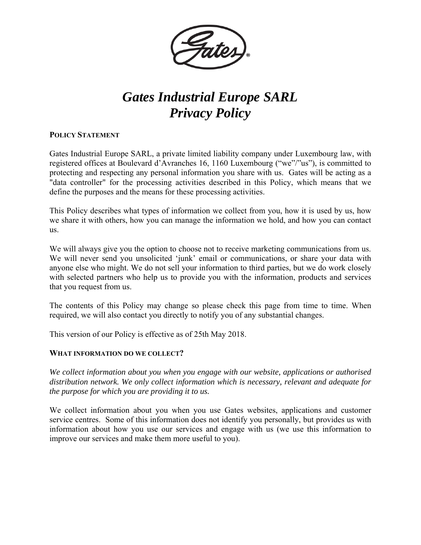

# *Gates Industrial Europe SARL Privacy Policy*

# **POLICY STATEMENT**

Gates Industrial Europe SARL, a private limited liability company under Luxembourg law, with registered offices at Boulevard d'Avranches 16, 1160 Luxembourg ("we"/"us"), is committed to protecting and respecting any personal information you share with us. Gates will be acting as a "data controller" for the processing activities described in this Policy, which means that we define the purposes and the means for these processing activities.

This Policy describes what types of information we collect from you, how it is used by us, how we share it with others, how you can manage the information we hold, and how you can contact us.

We will always give you the option to choose not to receive marketing communications from us. We will never send you unsolicited 'junk' email or communications, or share your data with anyone else who might. We do not sell your information to third parties, but we do work closely with selected partners who help us to provide you with the information, products and services that you request from us.

The contents of this Policy may change so please check this page from time to time. When required, we will also contact you directly to notify you of any substantial changes.

This version of our Policy is effective as of 25th May 2018.

# **WHAT INFORMATION DO WE COLLECT?**

*We collect information about you when you engage with our website, applications or authorised distribution network. We only collect information which is necessary, relevant and adequate for the purpose for which you are providing it to us.* 

We collect information about you when you use Gates websites, applications and customer service centres. Some of this information does not identify you personally, but provides us with information about how you use our services and engage with us (we use this information to improve our services and make them more useful to you).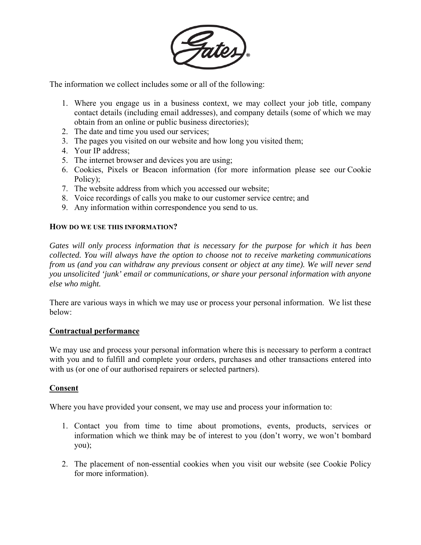

The information we collect includes some or all of the following:

- 1. Where you engage us in a business context, we may collect your job title, company contact details (including email addresses), and company details (some of which we may obtain from an online or public business directories);
- 2. The date and time you used our services;
- 3. The pages you visited on our website and how long you visited them;
- 4. Your IP address;
- 5. The internet browser and devices you are using;
- 6. Cookies, Pixels or Beacon information (for more information please see our Cookie Policy);
- 7. The website address from which you accessed our website;
- 8. Voice recordings of calls you make to our customer service centre; and
- 9. Any information within correspondence you send to us.

# **HOW DO WE USE THIS INFORMATION?**

*Gates will only process information that is necessary for the purpose for which it has been collected. You will always have the option to choose not to receive marketing communications from us (and you can withdraw any previous consent or object at any time). We will never send you unsolicited 'junk' email or communications, or share your personal information with anyone else who might.*

There are various ways in which we may use or process your personal information. We list these below:

# **Contractual performance**

We may use and process your personal information where this is necessary to perform a contract with you and to fulfill and complete your orders, purchases and other transactions entered into with us (or one of our authorised repairers or selected partners).

# **Consent**

Where you have provided your consent, we may use and process your information to:

- 1. Contact you from time to time about promotions, events, products, services or information which we think may be of interest to you (don't worry, we won't bombard you);
- 2. The placement of non-essential cookies when you visit our website (see Cookie Policy for more information).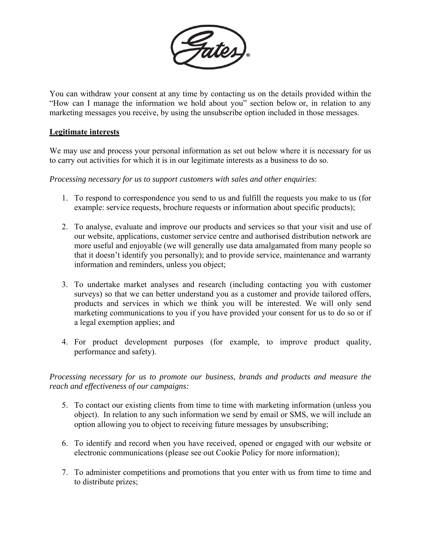

You can withdraw your consent at any time by contacting us on the details provided within the "How can I manage the information we hold about you" section below or, in relation to any marketing messages you receive, by using the unsubscribe option included in those messages.

# **Legitimate interests**

We may use and process your personal information as set out below where it is necessary for us to carry out activities for which it is in our legitimate interests as a business to do so.

*Processing necessary for us to support customers with sales and other enquiries*:

- 1. To respond to correspondence you send to us and fulfill the requests you make to us (for example: service requests, brochure requests or information about specific products);
- 2. To analyse, evaluate and improve our products and services so that your visit and use of our website, applications, customer service centre and authorised distribution network are more useful and enjoyable (we will generally use data amalgamated from many people so that it doesn't identify you personally); and to provide service, maintenance and warranty information and reminders, unless you object;
- 3. To undertake market analyses and research (including contacting you with customer surveys) so that we can better understand you as a customer and provide tailored offers, products and services in which we think you will be interested. We will only send marketing communications to you if you have provided your consent for us to do so or if a legal exemption applies; and
- 4. For product development purposes (for example, to improve product quality, performance and safety).

# *Processing necessary for us to promote our business, brands and products and measure the reach and effectiveness of our campaigns:*

- 5. To contact our existing clients from time to time with marketing information (unless you object). In relation to any such information we send by email or SMS, we will include an option allowing you to object to receiving future messages by unsubscribing;
- 6. To identify and record when you have received, opened or engaged with our website or electronic communications (please see out Cookie Policy for more information);
- 7. To administer competitions and promotions that you enter with us from time to time and to distribute prizes;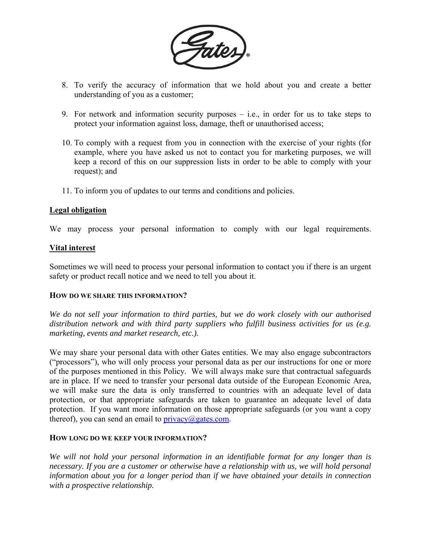

- 8. To verify the accuracy of information that we hold about you and create a better understanding of you as a customer;
- 9. For network and information security purposes i.e., in order for us to take steps to protect your information against loss, damage, theft or unauthorised access;
- 10. To comply with a request from you in connection with the exercise of your rights (for example, where you have asked us not to contact you for marketing purposes, we will keep a record of this on our suppression lists in order to be able to comply with your request); and
- 11. To inform you of updates to our terms and conditions and policies.

# **Legal obligation**

We may process your personal information to comply with our legal requirements.

# **Vital interest**

Sometimes we will need to process your personal information to contact you if there is an urgent safety or product recall notice and we need to tell you about it.

# **HOW DO WE SHARE THIS INFORMATION?**

*We do not sell your information to third parties, but we do work closely with our authorised distribution network and with third party suppliers who fulfill business activities for us (e.g. marketing, events and market research, etc.).* 

We may share your personal data with other Gates entities. We may also engage subcontractors ("processors"), who will only process your personal data as per our instructions for one or more of the purposes mentioned in this Policy. We will always make sure that contractual safeguards are in place. If we need to transfer your personal data outside of the European Economic Area, we will make sure the data is only transferred to countries with an adequate level of data protection, or that appropriate safeguards are taken to guarantee an adequate level of data protection. If you want more information on those appropriate safeguards (or you want a copy thereof), you can send an email to  $\text{privacy}(a)$  gates.com.

#### **HOW LONG DO WE KEEP YOUR INFORMATION?**

*We will not hold your personal information in an identifiable format for any longer than is necessary. If you are a customer or otherwise have a relationship with us, we will hold personal information about you for a longer period than if we have obtained your details in connection with a prospective relationship.*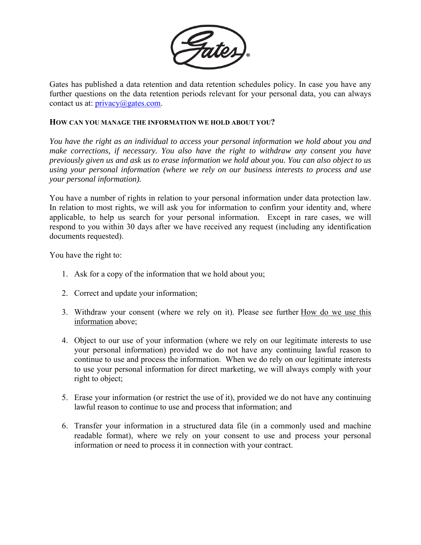

Gates has published a data retention and data retention schedules policy. In case you have any further questions on the data retention periods relevant for your personal data, you can always contact us at:  $\text{privacy}(a)$  gates.com.

### **HOW CAN YOU MANAGE THE INFORMATION WE HOLD ABOUT YOU?**

*You have the right as an individual to access your personal information we hold about you and make corrections, if necessary. You also have the right to withdraw any consent you have previously given us and ask us to erase information we hold about you. You can also object to us using your personal information (where we rely on our business interests to process and use your personal information).* 

You have a number of rights in relation to your personal information under data protection law. In relation to most rights, we will ask you for information to confirm your identity and, where applicable, to help us search for your personal information. Except in rare cases, we will respond to you within 30 days after we have received any request (including any identification documents requested).

You have the right to:

- 1. Ask for a copy of the information that we hold about you;
- 2. Correct and update your information;
- 3. Withdraw your consent (where we rely on it). Please see further How do we use this information above;
- 4. Object to our use of your information (where we rely on our legitimate interests to use your personal information) provided we do not have any continuing lawful reason to continue to use and process the information. When we do rely on our legitimate interests to use your personal information for direct marketing, we will always comply with your right to object;
- 5. Erase your information (or restrict the use of it), provided we do not have any continuing lawful reason to continue to use and process that information; and
- 6. Transfer your information in a structured data file (in a commonly used and machine readable format), where we rely on your consent to use and process your personal information or need to process it in connection with your contract.